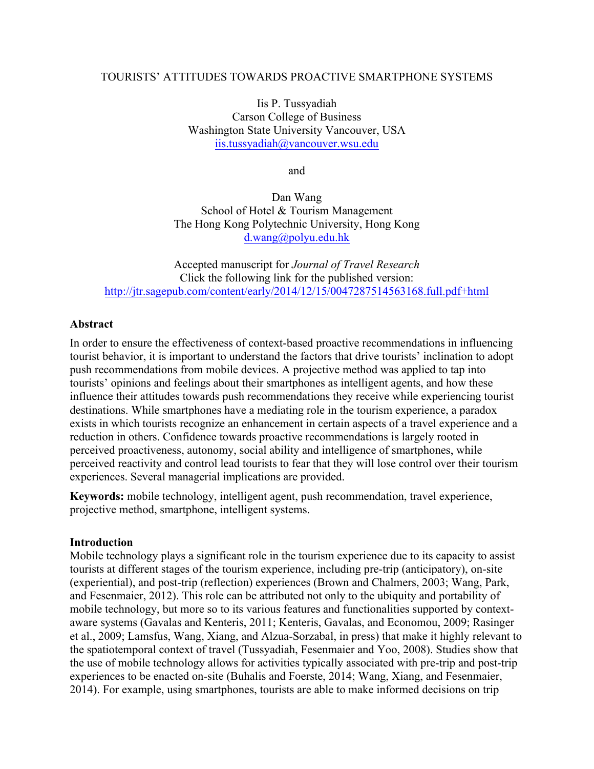## TOURISTS' ATTITUDES TOWARDS PROACTIVE SMARTPHONE SYSTEMS

Iis P. Tussyadiah Carson College of Business Washington State University Vancouver, USA iis.tussyadiah@vancouver.wsu.edu

and

Dan Wang School of Hotel & Tourism Management The Hong Kong Polytechnic University, Hong Kong d.wang@polyu.edu.hk

Accepted manuscript for *Journal of Travel Research* Click the following link for the published version: http://jtr.sagepub.com/content/early/2014/12/15/0047287514563168.full.pdf+html

## **Abstract**

In order to ensure the effectiveness of context-based proactive recommendations in influencing tourist behavior, it is important to understand the factors that drive tourists' inclination to adopt push recommendations from mobile devices. A projective method was applied to tap into tourists' opinions and feelings about their smartphones as intelligent agents, and how these influence their attitudes towards push recommendations they receive while experiencing tourist destinations. While smartphones have a mediating role in the tourism experience, a paradox exists in which tourists recognize an enhancement in certain aspects of a travel experience and a reduction in others. Confidence towards proactive recommendations is largely rooted in perceived proactiveness, autonomy, social ability and intelligence of smartphones, while perceived reactivity and control lead tourists to fear that they will lose control over their tourism experiences. Several managerial implications are provided.

**Keywords:** mobile technology, intelligent agent, push recommendation, travel experience, projective method, smartphone, intelligent systems.

## **Introduction**

Mobile technology plays a significant role in the tourism experience due to its capacity to assist tourists at different stages of the tourism experience, including pre-trip (anticipatory), on-site (experiential), and post-trip (reflection) experiences (Brown and Chalmers, 2003; Wang, Park, and Fesenmaier, 2012). This role can be attributed not only to the ubiquity and portability of mobile technology, but more so to its various features and functionalities supported by contextaware systems (Gavalas and Kenteris, 2011; Kenteris, Gavalas, and Economou, 2009; Rasinger et al., 2009; Lamsfus, Wang, Xiang, and Alzua-Sorzabal, in press) that make it highly relevant to the spatiotemporal context of travel (Tussyadiah, Fesenmaier and Yoo, 2008). Studies show that the use of mobile technology allows for activities typically associated with pre-trip and post-trip experiences to be enacted on-site (Buhalis and Foerste, 2014; Wang, Xiang, and Fesenmaier, 2014). For example, using smartphones, tourists are able to make informed decisions on trip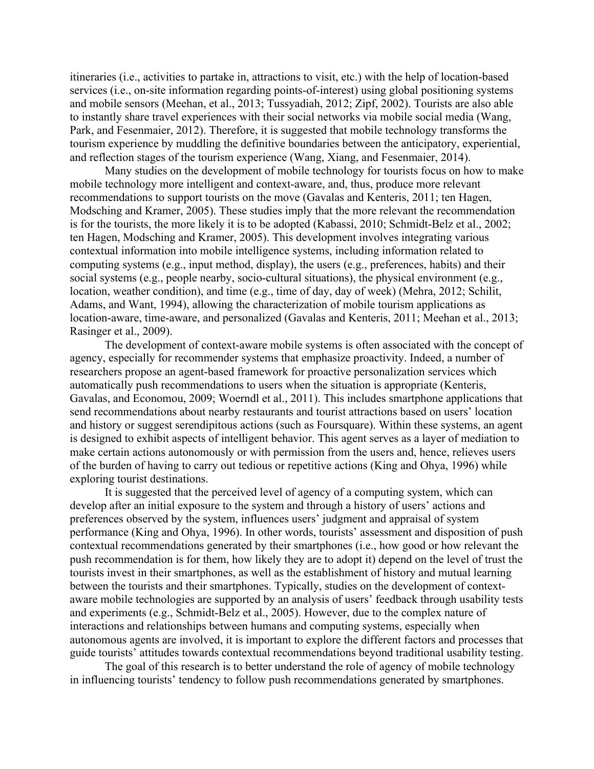itineraries (i.e., activities to partake in, attractions to visit, etc.) with the help of location-based services (i.e., on-site information regarding points-of-interest) using global positioning systems and mobile sensors (Meehan, et al., 2013; Tussyadiah, 2012; Zipf, 2002). Tourists are also able to instantly share travel experiences with their social networks via mobile social media (Wang, Park, and Fesenmaier, 2012). Therefore, it is suggested that mobile technology transforms the tourism experience by muddling the definitive boundaries between the anticipatory, experiential, and reflection stages of the tourism experience (Wang, Xiang, and Fesenmaier, 2014).

Many studies on the development of mobile technology for tourists focus on how to make mobile technology more intelligent and context-aware, and, thus, produce more relevant recommendations to support tourists on the move (Gavalas and Kenteris, 2011; ten Hagen, Modsching and Kramer, 2005). These studies imply that the more relevant the recommendation is for the tourists, the more likely it is to be adopted (Kabassi, 2010; Schmidt-Belz et al., 2002; ten Hagen, Modsching and Kramer, 2005). This development involves integrating various contextual information into mobile intelligence systems, including information related to computing systems (e.g., input method, display), the users (e.g., preferences, habits) and their social systems (e.g., people nearby, socio-cultural situations), the physical environment (e.g., location, weather condition), and time (e.g., time of day, day of week) (Mehra, 2012; Schilit, Adams, and Want, 1994), allowing the characterization of mobile tourism applications as location-aware, time-aware, and personalized (Gavalas and Kenteris, 2011; Meehan et al., 2013; Rasinger et al., 2009).

The development of context-aware mobile systems is often associated with the concept of agency, especially for recommender systems that emphasize proactivity. Indeed, a number of researchers propose an agent-based framework for proactive personalization services which automatically push recommendations to users when the situation is appropriate (Kenteris, Gavalas, and Economou, 2009; Woerndl et al., 2011). This includes smartphone applications that send recommendations about nearby restaurants and tourist attractions based on users' location and history or suggest serendipitous actions (such as Foursquare). Within these systems, an agent is designed to exhibit aspects of intelligent behavior. This agent serves as a layer of mediation to make certain actions autonomously or with permission from the users and, hence, relieves users of the burden of having to carry out tedious or repetitive actions (King and Ohya, 1996) while exploring tourist destinations.

It is suggested that the perceived level of agency of a computing system, which can develop after an initial exposure to the system and through a history of users' actions and preferences observed by the system, influences users' judgment and appraisal of system performance (King and Ohya, 1996). In other words, tourists' assessment and disposition of push contextual recommendations generated by their smartphones (i.e., how good or how relevant the push recommendation is for them, how likely they are to adopt it) depend on the level of trust the tourists invest in their smartphones, as well as the establishment of history and mutual learning between the tourists and their smartphones. Typically, studies on the development of contextaware mobile technologies are supported by an analysis of users' feedback through usability tests and experiments (e.g., Schmidt-Belz et al., 2005). However, due to the complex nature of interactions and relationships between humans and computing systems, especially when autonomous agents are involved, it is important to explore the different factors and processes that guide tourists' attitudes towards contextual recommendations beyond traditional usability testing.

The goal of this research is to better understand the role of agency of mobile technology in influencing tourists' tendency to follow push recommendations generated by smartphones.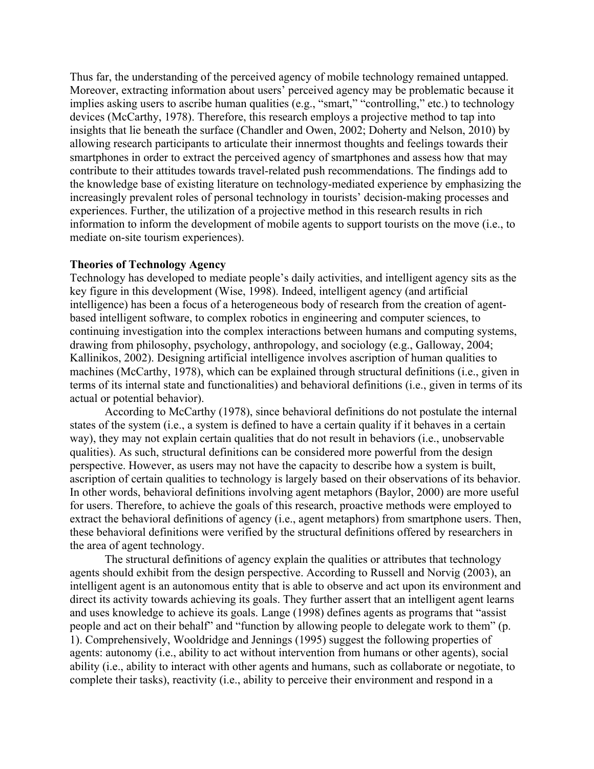Thus far, the understanding of the perceived agency of mobile technology remained untapped. Moreover, extracting information about users' perceived agency may be problematic because it implies asking users to ascribe human qualities (e.g., "smart," "controlling," etc.) to technology devices (McCarthy, 1978). Therefore, this research employs a projective method to tap into insights that lie beneath the surface (Chandler and Owen, 2002; Doherty and Nelson, 2010) by allowing research participants to articulate their innermost thoughts and feelings towards their smartphones in order to extract the perceived agency of smartphones and assess how that may contribute to their attitudes towards travel-related push recommendations. The findings add to the knowledge base of existing literature on technology-mediated experience by emphasizing the increasingly prevalent roles of personal technology in tourists' decision-making processes and experiences. Further, the utilization of a projective method in this research results in rich information to inform the development of mobile agents to support tourists on the move (i.e., to mediate on-site tourism experiences).

## **Theories of Technology Agency**

Technology has developed to mediate people's daily activities, and intelligent agency sits as the key figure in this development (Wise, 1998). Indeed, intelligent agency (and artificial intelligence) has been a focus of a heterogeneous body of research from the creation of agentbased intelligent software, to complex robotics in engineering and computer sciences, to continuing investigation into the complex interactions between humans and computing systems, drawing from philosophy, psychology, anthropology, and sociology (e.g., Galloway, 2004; Kallinikos, 2002). Designing artificial intelligence involves ascription of human qualities to machines (McCarthy, 1978), which can be explained through structural definitions (i.e., given in terms of its internal state and functionalities) and behavioral definitions (i.e., given in terms of its actual or potential behavior).

According to McCarthy (1978), since behavioral definitions do not postulate the internal states of the system (i.e., a system is defined to have a certain quality if it behaves in a certain way), they may not explain certain qualities that do not result in behaviors (i.e., unobservable qualities). As such, structural definitions can be considered more powerful from the design perspective. However, as users may not have the capacity to describe how a system is built, ascription of certain qualities to technology is largely based on their observations of its behavior. In other words, behavioral definitions involving agent metaphors (Baylor, 2000) are more useful for users. Therefore, to achieve the goals of this research, proactive methods were employed to extract the behavioral definitions of agency (i.e., agent metaphors) from smartphone users. Then, these behavioral definitions were verified by the structural definitions offered by researchers in the area of agent technology.

The structural definitions of agency explain the qualities or attributes that technology agents should exhibit from the design perspective. According to Russell and Norvig (2003), an intelligent agent is an autonomous entity that is able to observe and act upon its environment and direct its activity towards achieving its goals. They further assert that an intelligent agent learns and uses knowledge to achieve its goals. Lange (1998) defines agents as programs that "assist people and act on their behalf" and "function by allowing people to delegate work to them" (p. 1). Comprehensively, Wooldridge and Jennings (1995) suggest the following properties of agents: autonomy (i.e., ability to act without intervention from humans or other agents), social ability (i.e., ability to interact with other agents and humans, such as collaborate or negotiate, to complete their tasks), reactivity (i.e., ability to perceive their environment and respond in a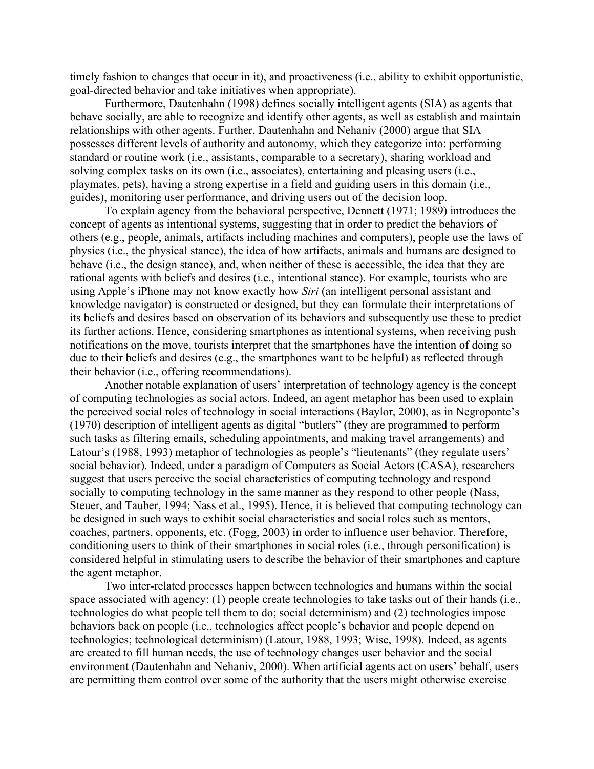timely fashion to changes that occur in it), and proactiveness (i.e., ability to exhibit opportunistic, goal-directed behavior and take initiatives when appropriate).

Furthermore, Dautenhahn (1998) defines socially intelligent agents (SIA) as agents that behave socially, are able to recognize and identify other agents, as well as establish and maintain relationships with other agents. Further, Dautenhahn and Nehaniv (2000) argue that SIA possesses different levels of authority and autonomy, which they categorize into: performing standard or routine work (i.e., assistants, comparable to a secretary), sharing workload and solving complex tasks on its own (i.e., associates), entertaining and pleasing users (i.e., playmates, pets), having a strong expertise in a field and guiding users in this domain (i.e., guides), monitoring user performance, and driving users out of the decision loop.

To explain agency from the behavioral perspective, Dennett (1971; 1989) introduces the concept of agents as intentional systems, suggesting that in order to predict the behaviors of others (e.g., people, animals, artifacts including machines and computers), people use the laws of physics (i.e., the physical stance), the idea of how artifacts, animals and humans are designed to behave (i.e., the design stance), and, when neither of these is accessible, the idea that they are rational agents with beliefs and desires (i.e., intentional stance). For example, tourists who are using Apple's iPhone may not know exactly how *Siri* (an intelligent personal assistant and knowledge navigator) is constructed or designed, but they can formulate their interpretations of its beliefs and desires based on observation of its behaviors and subsequently use these to predict its further actions. Hence, considering smartphones as intentional systems, when receiving push notifications on the move, tourists interpret that the smartphones have the intention of doing so due to their beliefs and desires (e.g., the smartphones want to be helpful) as reflected through their behavior (i.e., offering recommendations).

Another notable explanation of users' interpretation of technology agency is the concept of computing technologies as social actors. Indeed, an agent metaphor has been used to explain the perceived social roles of technology in social interactions (Baylor, 2000), as in Negroponte's (1970) description of intelligent agents as digital "butlers" (they are programmed to perform such tasks as filtering emails, scheduling appointments, and making travel arrangements) and Latour's (1988, 1993) metaphor of technologies as people's "lieutenants" (they regulate users' social behavior). Indeed, under a paradigm of Computers as Social Actors (CASA), researchers suggest that users perceive the social characteristics of computing technology and respond socially to computing technology in the same manner as they respond to other people (Nass, Steuer, and Tauber, 1994; Nass et al., 1995). Hence, it is believed that computing technology can be designed in such ways to exhibit social characteristics and social roles such as mentors, coaches, partners, opponents, etc. (Fogg, 2003) in order to influence user behavior. Therefore, conditioning users to think of their smartphones in social roles (i.e., through personification) is considered helpful in stimulating users to describe the behavior of their smartphones and capture the agent metaphor.

Two inter-related processes happen between technologies and humans within the social space associated with agency: (1) people create technologies to take tasks out of their hands (i.e., technologies do what people tell them to do; social determinism) and (2) technologies impose behaviors back on people (i.e., technologies affect people's behavior and people depend on technologies; technological determinism) (Latour, 1988, 1993; Wise, 1998). Indeed, as agents are created to fill human needs, the use of technology changes user behavior and the social environment (Dautenhahn and Nehaniv, 2000). When artificial agents act on users' behalf, users are permitting them control over some of the authority that the users might otherwise exercise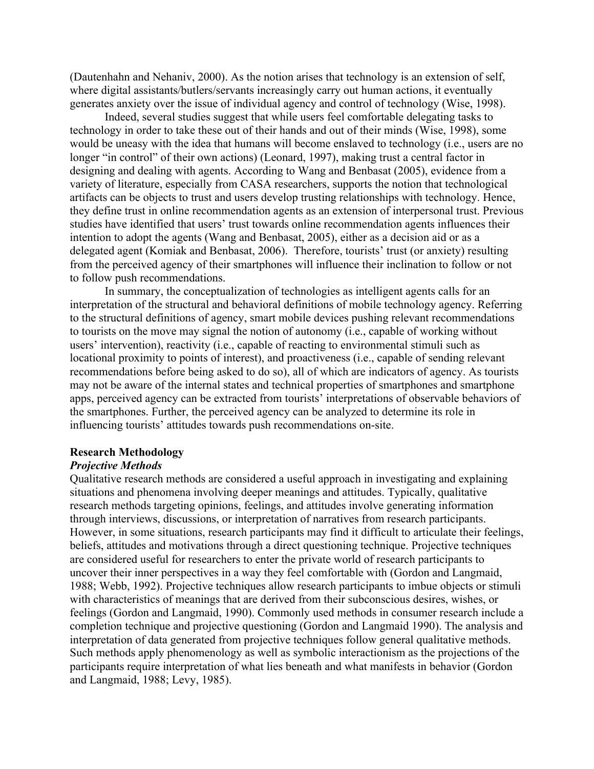(Dautenhahn and Nehaniv, 2000). As the notion arises that technology is an extension of self, where digital assistants/butlers/servants increasingly carry out human actions, it eventually generates anxiety over the issue of individual agency and control of technology (Wise, 1998).

Indeed, several studies suggest that while users feel comfortable delegating tasks to technology in order to take these out of their hands and out of their minds (Wise, 1998), some would be uneasy with the idea that humans will become enslaved to technology (i.e., users are no longer "in control" of their own actions) (Leonard, 1997), making trust a central factor in designing and dealing with agents. According to Wang and Benbasat (2005), evidence from a variety of literature, especially from CASA researchers, supports the notion that technological artifacts can be objects to trust and users develop trusting relationships with technology. Hence, they define trust in online recommendation agents as an extension of interpersonal trust. Previous studies have identified that users' trust towards online recommendation agents influences their intention to adopt the agents (Wang and Benbasat, 2005), either as a decision aid or as a delegated agent (Komiak and Benbasat, 2006). Therefore, tourists' trust (or anxiety) resulting from the perceived agency of their smartphones will influence their inclination to follow or not to follow push recommendations.

In summary, the conceptualization of technologies as intelligent agents calls for an interpretation of the structural and behavioral definitions of mobile technology agency. Referring to the structural definitions of agency, smart mobile devices pushing relevant recommendations to tourists on the move may signal the notion of autonomy (i.e., capable of working without users' intervention), reactivity (i.e., capable of reacting to environmental stimuli such as locational proximity to points of interest), and proactiveness (i.e., capable of sending relevant recommendations before being asked to do so), all of which are indicators of agency. As tourists may not be aware of the internal states and technical properties of smartphones and smartphone apps, perceived agency can be extracted from tourists' interpretations of observable behaviors of the smartphones. Further, the perceived agency can be analyzed to determine its role in influencing tourists' attitudes towards push recommendations on-site.

### **Research Methodology**

#### *Projective Methods*

Qualitative research methods are considered a useful approach in investigating and explaining situations and phenomena involving deeper meanings and attitudes. Typically, qualitative research methods targeting opinions, feelings, and attitudes involve generating information through interviews, discussions, or interpretation of narratives from research participants. However, in some situations, research participants may find it difficult to articulate their feelings, beliefs, attitudes and motivations through a direct questioning technique. Projective techniques are considered useful for researchers to enter the private world of research participants to uncover their inner perspectives in a way they feel comfortable with (Gordon and Langmaid, 1988; Webb, 1992). Projective techniques allow research participants to imbue objects or stimuli with characteristics of meanings that are derived from their subconscious desires, wishes, or feelings (Gordon and Langmaid, 1990). Commonly used methods in consumer research include a completion technique and projective questioning (Gordon and Langmaid 1990). The analysis and interpretation of data generated from projective techniques follow general qualitative methods. Such methods apply phenomenology as well as symbolic interactionism as the projections of the participants require interpretation of what lies beneath and what manifests in behavior (Gordon and Langmaid, 1988; Levy, 1985).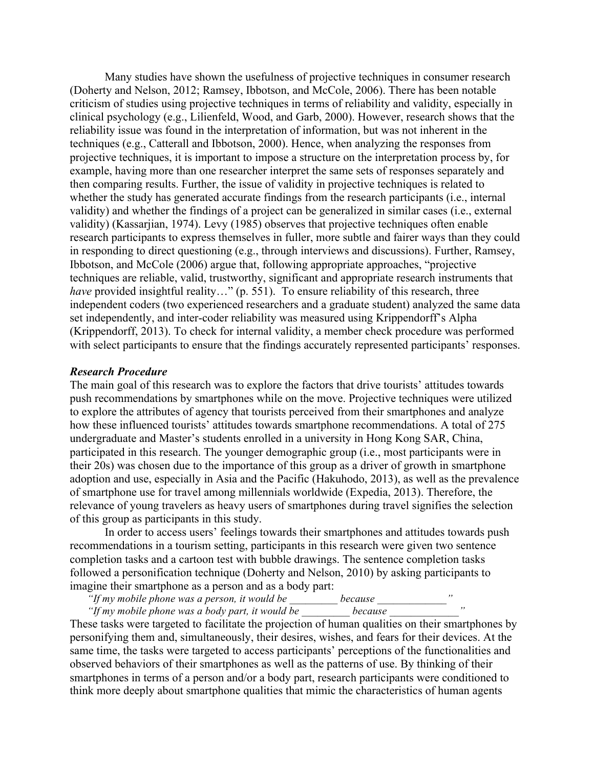Many studies have shown the usefulness of projective techniques in consumer research (Doherty and Nelson, 2012; Ramsey, Ibbotson, and McCole, 2006). There has been notable criticism of studies using projective techniques in terms of reliability and validity, especially in clinical psychology (e.g., Lilienfeld, Wood, and Garb, 2000). However, research shows that the reliability issue was found in the interpretation of information, but was not inherent in the techniques (e.g., Catterall and Ibbotson, 2000). Hence, when analyzing the responses from projective techniques, it is important to impose a structure on the interpretation process by, for example, having more than one researcher interpret the same sets of responses separately and then comparing results. Further, the issue of validity in projective techniques is related to whether the study has generated accurate findings from the research participants (i.e., internal validity) and whether the findings of a project can be generalized in similar cases (i.e., external validity) (Kassarjian, 1974). Levy (1985) observes that projective techniques often enable research participants to express themselves in fuller, more subtle and fairer ways than they could in responding to direct questioning (e.g., through interviews and discussions). Further, Ramsey, Ibbotson, and McCole (2006) argue that, following appropriate approaches, "projective techniques are reliable, valid, trustworthy, significant and appropriate research instruments that *have* provided insightful reality..." (p. 551). To ensure reliability of this research, three independent coders (two experienced researchers and a graduate student) analyzed the same data set independently, and inter-coder reliability was measured using Krippendorff's Alpha (Krippendorff, 2013). To check for internal validity, a member check procedure was performed with select participants to ensure that the findings accurately represented participants' responses.

### *Research Procedure*

The main goal of this research was to explore the factors that drive tourists' attitudes towards push recommendations by smartphones while on the move. Projective techniques were utilized to explore the attributes of agency that tourists perceived from their smartphones and analyze how these influenced tourists' attitudes towards smartphone recommendations. A total of 275 undergraduate and Master's students enrolled in a university in Hong Kong SAR, China, participated in this research. The younger demographic group (i.e., most participants were in their 20s) was chosen due to the importance of this group as a driver of growth in smartphone adoption and use, especially in Asia and the Pacific (Hakuhodo, 2013), as well as the prevalence of smartphone use for travel among millennials worldwide (Expedia, 2013). Therefore, the relevance of young travelers as heavy users of smartphones during travel signifies the selection of this group as participants in this study.

In order to access users' feelings towards their smartphones and attitudes towards push recommendations in a tourism setting, participants in this research were given two sentence completion tasks and a cartoon test with bubble drawings. The sentence completion tasks followed a personification technique (Doherty and Nelson, 2010) by asking participants to imagine their smartphone as a person and as a body part:

*"If my mobile phone was a person, it would be \_\_\_\_\_\_\_\_\_ because \_\_\_\_\_\_\_\_\_\_\_\_\_" "If my mobile phone was a body part, it would be \_\_\_\_\_\_\_\_\_ because \_\_\_\_\_\_\_\_\_\_\_\_\_"*

These tasks were targeted to facilitate the projection of human qualities on their smartphones by personifying them and, simultaneously, their desires, wishes, and fears for their devices. At the same time, the tasks were targeted to access participants' perceptions of the functionalities and observed behaviors of their smartphones as well as the patterns of use. By thinking of their smartphones in terms of a person and/or a body part, research participants were conditioned to think more deeply about smartphone qualities that mimic the characteristics of human agents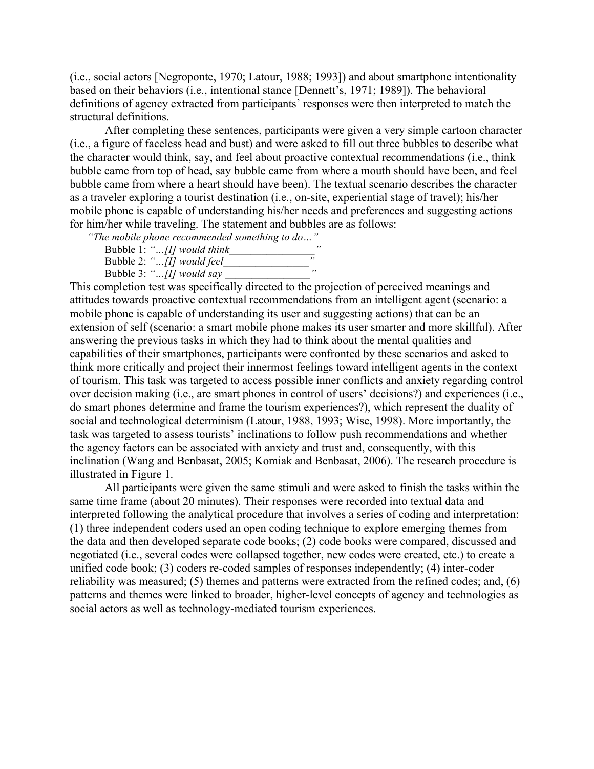(i.e., social actors [Negroponte, 1970; Latour, 1988; 1993]) and about smartphone intentionality based on their behaviors (i.e., intentional stance [Dennett's, 1971; 1989]). The behavioral definitions of agency extracted from participants' responses were then interpreted to match the structural definitions.

After completing these sentences, participants were given a very simple cartoon character (i.e., a figure of faceless head and bust) and were asked to fill out three bubbles to describe what the character would think, say, and feel about proactive contextual recommendations (i.e., think bubble came from top of head, say bubble came from where a mouth should have been, and feel bubble came from where a heart should have been). The textual scenario describes the character as a traveler exploring a tourist destination (i.e., on-site, experiential stage of travel); his/her mobile phone is capable of understanding his/her needs and preferences and suggesting actions for him/her while traveling. The statement and bubbles are as follows:

*"The mobile phone recommended something to do…"*  Bubble 1: *"…[I] would think\_\_\_\_\_\_\_\_\_\_\_\_\_\_\_\_"* Bubble 2:  $\cdot \cdot \cdot$ ...*[I]* would feel Bubble 3: " $...$  *II]* would say

This completion test was specifically directed to the projection of perceived meanings and attitudes towards proactive contextual recommendations from an intelligent agent (scenario: a mobile phone is capable of understanding its user and suggesting actions) that can be an extension of self (scenario: a smart mobile phone makes its user smarter and more skillful). After answering the previous tasks in which they had to think about the mental qualities and capabilities of their smartphones, participants were confronted by these scenarios and asked to think more critically and project their innermost feelings toward intelligent agents in the context of tourism. This task was targeted to access possible inner conflicts and anxiety regarding control over decision making (i.e., are smart phones in control of users' decisions?) and experiences (i.e., do smart phones determine and frame the tourism experiences?), which represent the duality of social and technological determinism (Latour, 1988, 1993; Wise, 1998). More importantly, the task was targeted to assess tourists' inclinations to follow push recommendations and whether the agency factors can be associated with anxiety and trust and, consequently, with this inclination (Wang and Benbasat, 2005; Komiak and Benbasat, 2006). The research procedure is illustrated in Figure 1.

All participants were given the same stimuli and were asked to finish the tasks within the same time frame (about 20 minutes). Their responses were recorded into textual data and interpreted following the analytical procedure that involves a series of coding and interpretation: (1) three independent coders used an open coding technique to explore emerging themes from the data and then developed separate code books; (2) code books were compared, discussed and negotiated (i.e., several codes were collapsed together, new codes were created, etc.) to create a unified code book; (3) coders re-coded samples of responses independently; (4) inter-coder reliability was measured; (5) themes and patterns were extracted from the refined codes; and, (6) patterns and themes were linked to broader, higher-level concepts of agency and technologies as social actors as well as technology-mediated tourism experiences.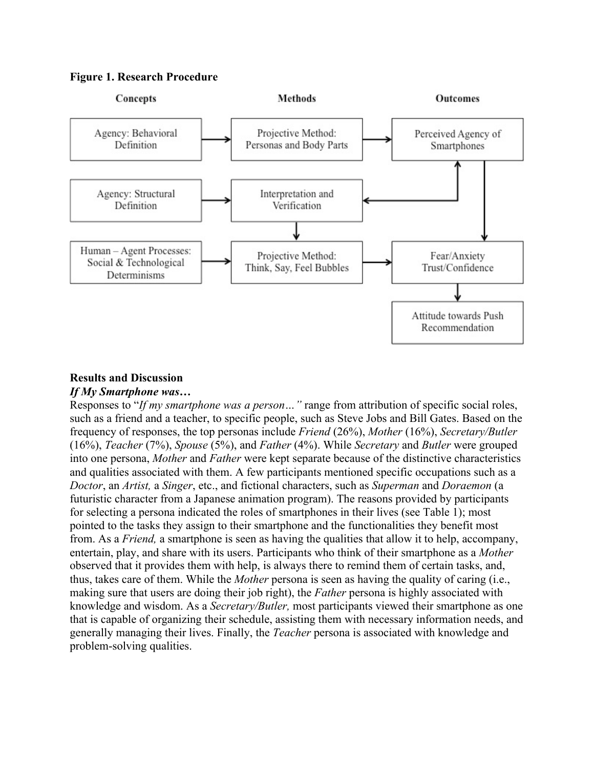## **Figure 1. Research Procedure**



# **Results and Discussion**

## *If My Smartphone was…*

Responses to "*If my smartphone was a person…"* range from attribution of specific social roles, such as a friend and a teacher, to specific people, such as Steve Jobs and Bill Gates. Based on the frequency of responses, the top personas include *Friend* (26%), *Mother* (16%), *Secretary/Butler* (16%), *Teacher* (7%), *Spouse* (5%), and *Father* (4%). While *Secretary* and *Butler* were grouped into one persona, *Mother* and *Father* were kept separate because of the distinctive characteristics and qualities associated with them. A few participants mentioned specific occupations such as a *Doctor*, an *Artist,* a *Singer*, etc., and fictional characters, such as *Superman* and *Doraemon* (a futuristic character from a Japanese animation program). The reasons provided by participants for selecting a persona indicated the roles of smartphones in their lives (see Table 1); most pointed to the tasks they assign to their smartphone and the functionalities they benefit most from. As a *Friend,* a smartphone is seen as having the qualities that allow it to help, accompany, entertain, play, and share with its users. Participants who think of their smartphone as a *Mother* observed that it provides them with help, is always there to remind them of certain tasks, and, thus, takes care of them. While the *Mother* persona is seen as having the quality of caring (i.e., making sure that users are doing their job right), the *Father* persona is highly associated with knowledge and wisdom. As a *Secretary/Butler,* most participants viewed their smartphone as one that is capable of organizing their schedule, assisting them with necessary information needs, and generally managing their lives. Finally, the *Teacher* persona is associated with knowledge and problem-solving qualities.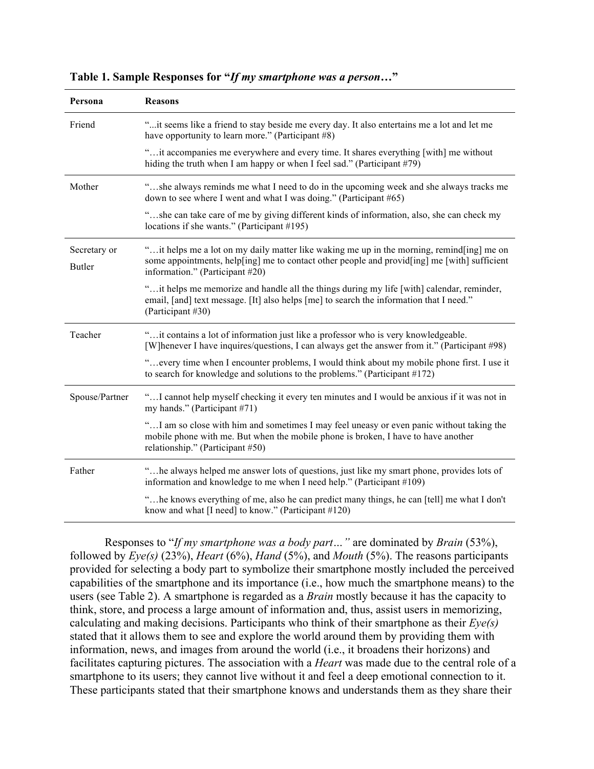| Persona                       | <b>Reasons</b>                                                                                                                                                                                                                |
|-------------------------------|-------------------------------------------------------------------------------------------------------------------------------------------------------------------------------------------------------------------------------|
| Friend                        | "it seems like a friend to stay beside me every day. It also entertains me a lot and let me<br>have opportunity to learn more." (Participant #8)                                                                              |
|                               | "it accompanies me everywhere and every time. It shares everything [with] me without<br>hiding the truth when I am happy or when I feel sad." (Participant #79)                                                               |
| Mother                        | "she always reminds me what I need to do in the upcoming week and she always tracks me<br>down to see where I went and what I was doing." (Participant #65)                                                                   |
|                               | "she can take care of me by giving different kinds of information, also, she can check my<br>locations if she wants." (Participant #195)                                                                                      |
| Secretary or<br><b>Butler</b> | " it helps me a lot on my daily matter like waking me up in the morning, remind[ing] me on<br>some appointments, help[ing] me to contact other people and provid[ing] me [with] sufficient<br>information." (Participant #20) |
|                               | " it helps me memorize and handle all the things during my life [with] calendar, reminder,<br>email, [and] text message. [It] also helps [me] to search the information that I need."<br>(Participant #30)                    |
| Teacher                       | "it contains a lot of information just like a professor who is very knowledgeable.<br>[W] henever I have inquires/questions, I can always get the answer from it." (Participant #98)                                          |
|                               | "every time when I encounter problems, I would think about my mobile phone first. I use it<br>to search for knowledge and solutions to the problems." (Participant $\#172$ )                                                  |
| Spouse/Partner                | " I cannot help myself checking it every ten minutes and I would be anxious if it was not in<br>my hands." (Participant #71)                                                                                                  |
|                               | " I am so close with him and sometimes I may feel uneasy or even panic without taking the<br>mobile phone with me. But when the mobile phone is broken, I have to have another<br>relationship." (Participant #50)            |
| Father                        | " he always helped me answer lots of questions, just like my smart phone, provides lots of<br>information and knowledge to me when I need help." (Participant #109)                                                           |
|                               | " he knows everything of me, also he can predict many things, he can [tell] me what I don't<br>know and what [I need] to know." (Participant $\#120$ )                                                                        |

**Table 1. Sample Responses for "***If my smartphone was a person***…"**

Responses to "*If my smartphone was a body part…"* are dominated by *Brain* (53%), followed by *Eye(s)* (23%), *Heart* (6%), *Hand* (5%), and *Mouth* (5%). The reasons participants provided for selecting a body part to symbolize their smartphone mostly included the perceived capabilities of the smartphone and its importance (i.e., how much the smartphone means) to the users (see Table 2). A smartphone is regarded as a *Brain* mostly because it has the capacity to think, store, and process a large amount of information and, thus, assist users in memorizing, calculating and making decisions. Participants who think of their smartphone as their *Eye(s)* stated that it allows them to see and explore the world around them by providing them with information, news, and images from around the world (i.e., it broadens their horizons) and facilitates capturing pictures. The association with a *Heart* was made due to the central role of a smartphone to its users; they cannot live without it and feel a deep emotional connection to it. These participants stated that their smartphone knows and understands them as they share their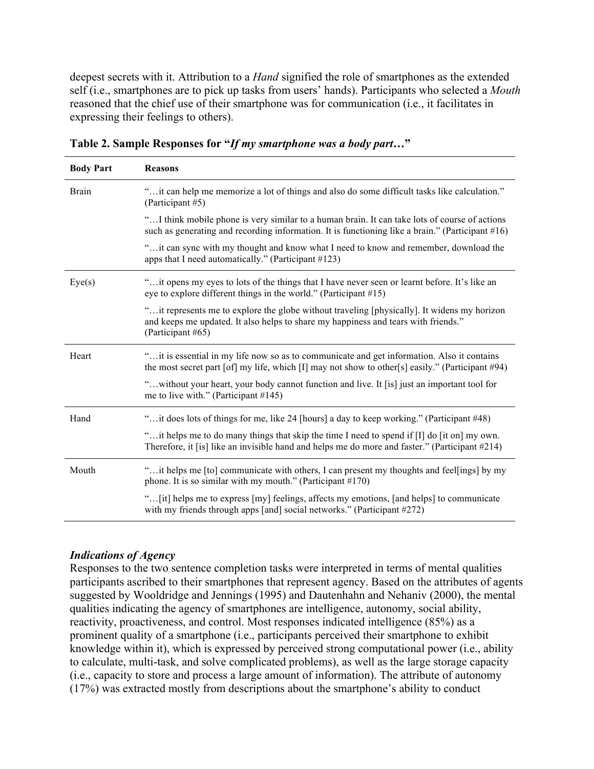deepest secrets with it. Attribution to a *Hand* signified the role of smartphones as the extended self (i.e., smartphones are to pick up tasks from users' hands). Participants who selected a *Mouth* reasoned that the chief use of their smartphone was for communication (i.e., it facilitates in expressing their feelings to others).

| <b>Body Part</b> | <b>Reasons</b>                                                                                                                                                                                         |
|------------------|--------------------------------------------------------------------------------------------------------------------------------------------------------------------------------------------------------|
| <b>Brain</b>     | "it can help me memorize a lot of things and also do some difficult tasks like calculation."<br>(Participant #5)                                                                                       |
|                  | " I think mobile phone is very similar to a human brain. It can take lots of course of actions<br>such as generating and recording information. It is functioning like a brain." (Participant #16)     |
|                  | " it can sync with my thought and know what I need to know and remember, download the<br>apps that I need automatically." (Participant $\#123$ )                                                       |
| Eye(s)           | " it opens my eyes to lots of the things that I have never seen or learnt before. It's like an<br>eye to explore different things in the world." (Participant $#15$ )                                  |
|                  | "it represents me to explore the globe without traveling [physically]. It widens my horizon<br>and keeps me updated. It also helps to share my happiness and tears with friends."<br>(Participant #65) |
| Heart            | " it is essential in my life now so as to communicate and get information. Also it contains<br>the most secret part [of] my life, which [I] may not show to other[s] easily." (Participant #94)        |
|                  | "without your heart, your body cannot function and live. It [is] just an important tool for<br>me to live with." (Participant $#145$ )                                                                 |
| Hand             | "it does lots of things for me, like 24 [hours] a day to keep working." (Participant #48)                                                                                                              |
|                  | "it helps me to do many things that skip the time I need to spend if [I] do [it on] my own.<br>Therefore, it [is] like an invisible hand and helps me do more and faster." (Participant #214)          |
| Mouth            | "it helps me [to] communicate with others, I can present my thoughts and feel[ings] by my<br>phone. It is so similar with my mouth." (Participant $\#170$ )                                            |
|                  | " [it] helps me to express [my] feelings, affects my emotions, [and helps] to communicate<br>with my friends through apps [and] social networks." (Participant #272)                                   |

**Table 2. Sample Responses for "***If my smartphone was a body part***…"**

## *Indications of Agency*

Responses to the two sentence completion tasks were interpreted in terms of mental qualities participants ascribed to their smartphones that represent agency. Based on the attributes of agents suggested by Wooldridge and Jennings (1995) and Dautenhahn and Nehaniv (2000), the mental qualities indicating the agency of smartphones are intelligence, autonomy, social ability, reactivity, proactiveness, and control. Most responses indicated intelligence (85%) as a prominent quality of a smartphone (i.e., participants perceived their smartphone to exhibit knowledge within it), which is expressed by perceived strong computational power (i.e., ability to calculate, multi-task, and solve complicated problems), as well as the large storage capacity (i.e., capacity to store and process a large amount of information). The attribute of autonomy (17%) was extracted mostly from descriptions about the smartphone's ability to conduct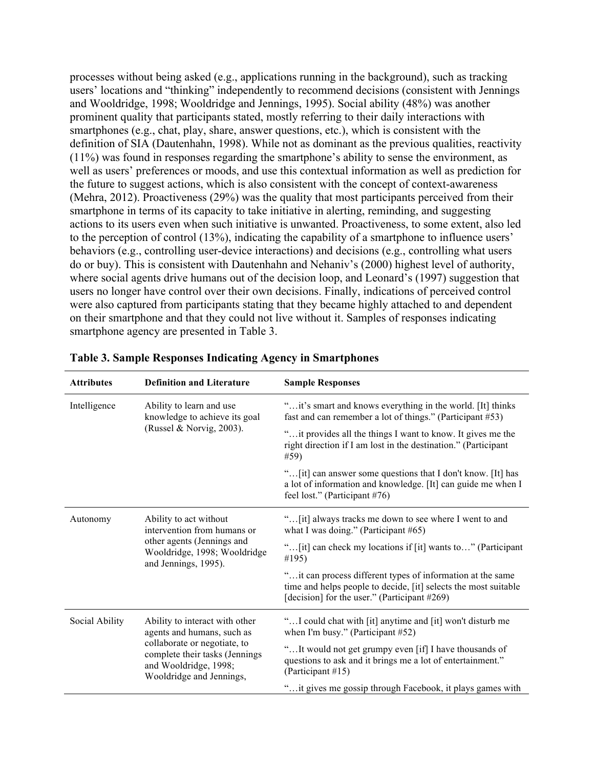processes without being asked (e.g., applications running in the background), such as tracking users' locations and "thinking" independently to recommend decisions (consistent with Jennings and Wooldridge, 1998; Wooldridge and Jennings, 1995). Social ability (48%) was another prominent quality that participants stated, mostly referring to their daily interactions with smartphones (e.g., chat, play, share, answer questions, etc.), which is consistent with the definition of SIA (Dautenhahn, 1998). While not as dominant as the previous qualities, reactivity (11%) was found in responses regarding the smartphone's ability to sense the environment, as well as users' preferences or moods, and use this contextual information as well as prediction for the future to suggest actions, which is also consistent with the concept of context-awareness (Mehra, 2012). Proactiveness (29%) was the quality that most participants perceived from their smartphone in terms of its capacity to take initiative in alerting, reminding, and suggesting actions to its users even when such initiative is unwanted. Proactiveness, to some extent, also led to the perception of control (13%), indicating the capability of a smartphone to influence users' behaviors (e.g., controlling user-device interactions) and decisions (e.g., controlling what users do or buy). This is consistent with Dautenhahn and Nehaniv's (2000) highest level of authority, where social agents drive humans out of the decision loop, and Leonard's (1997) suggestion that users no longer have control over their own decisions. Finally, indications of perceived control were also captured from participants stating that they became highly attached to and dependent on their smartphone and that they could not live without it. Samples of responses indicating smartphone agency are presented in Table 3.

| <b>Attributes</b> | <b>Definition and Literature</b>                                                                                    | <b>Sample Responses</b>                                                                                                                                                        |  |  |
|-------------------|---------------------------------------------------------------------------------------------------------------------|--------------------------------------------------------------------------------------------------------------------------------------------------------------------------------|--|--|
| Intelligence      | Ability to learn and use<br>knowledge to achieve its goal                                                           | "it's smart and knows everything in the world. [It] thinks<br>fast and can remember a lot of things." (Participant #53)                                                        |  |  |
|                   | (Russel & Norvig, 2003).                                                                                            | " it provides all the things I want to know. It gives me the<br>right direction if I am lost in the destination." (Participant<br>#59)                                         |  |  |
|                   |                                                                                                                     | " [it] can answer some questions that I don't know. [It] has<br>a lot of information and knowledge. [It] can guide me when I<br>feel lost." (Participant #76)                  |  |  |
| Autonomy          | Ability to act without<br>intervention from humans or                                                               | " [it] always tracks me down to see where I went to and<br>what I was doing." (Participant $#65$ )                                                                             |  |  |
|                   | other agents (Jennings and<br>Wooldridge, 1998; Wooldridge<br>and Jennings, 1995).                                  | " [it] can check my locations if [it] wants to" (Participant<br>#195)                                                                                                          |  |  |
|                   |                                                                                                                     | " it can process different types of information at the same<br>time and helps people to decide, [it] selects the most suitable<br>[decision] for the user." (Participant #269) |  |  |
| Social Ability    | Ability to interact with other<br>agents and humans, such as                                                        | "I could chat with [it] anytime and [it] won't disturb me<br>when I'm busy." (Participant $#52$ )                                                                              |  |  |
|                   | collaborate or negotiate, to<br>complete their tasks (Jennings<br>and Wooldridge, 1998;<br>Wooldridge and Jennings, | "It would not get grumpy even [if] I have thousands of<br>questions to ask and it brings me a lot of entertainment."<br>(Participant #15)                                      |  |  |
|                   |                                                                                                                     | " it gives me gossip through Facebook, it plays games with                                                                                                                     |  |  |

|  |  |  |  |  |  |  | <b>Table 3. Sample Responses Indicating Agency in Smartphones</b> |
|--|--|--|--|--|--|--|-------------------------------------------------------------------|
|  |  |  |  |  |  |  |                                                                   |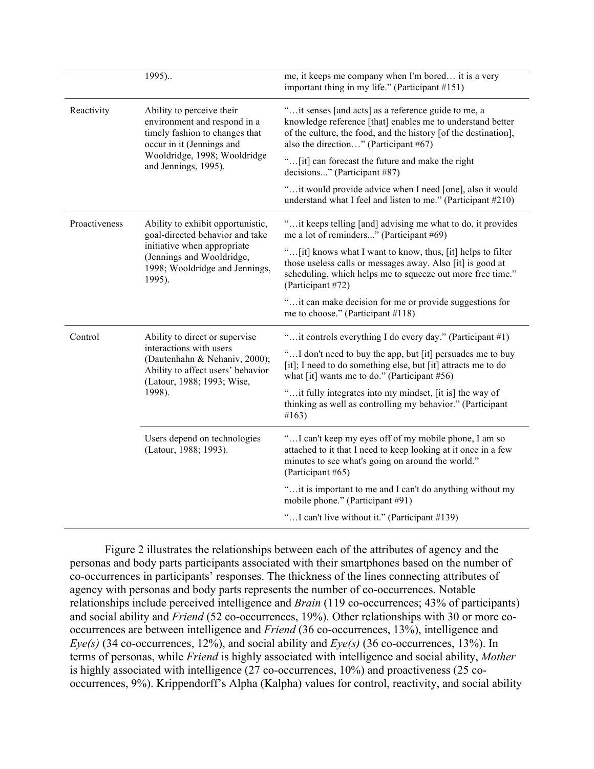|               | 1995)                                                                                                                                                                   | me, it keeps me company when I'm bored it is a very<br>important thing in my life." (Participant #151)                                                                                                                                                                                                                                                                |  |  |  |
|---------------|-------------------------------------------------------------------------------------------------------------------------------------------------------------------------|-----------------------------------------------------------------------------------------------------------------------------------------------------------------------------------------------------------------------------------------------------------------------------------------------------------------------------------------------------------------------|--|--|--|
| Reactivity    | Ability to perceive their<br>environment and respond in a<br>timely fashion to changes that<br>occur in it (Jennings and                                                | "it senses [and acts] as a reference guide to me, a<br>knowledge reference [that] enables me to understand better<br>of the culture, the food, and the history [of the destination],<br>also the direction" (Participant #67)                                                                                                                                         |  |  |  |
|               | Wooldridge, 1998; Wooldridge<br>and Jennings, 1995).                                                                                                                    | " [it] can forecast the future and make the right<br>decisions" (Participant #87)                                                                                                                                                                                                                                                                                     |  |  |  |
|               |                                                                                                                                                                         | "it would provide advice when I need [one], also it would<br>understand what I feel and listen to me." (Participant #210)                                                                                                                                                                                                                                             |  |  |  |
| Proactiveness | Ability to exhibit opportunistic,<br>goal-directed behavior and take                                                                                                    | " it keeps telling [and] advising me what to do, it provides<br>me a lot of reminders" (Participant #69)                                                                                                                                                                                                                                                              |  |  |  |
|               | initiative when appropriate<br>(Jennings and Wooldridge,<br>1998; Wooldridge and Jennings,<br>1995).                                                                    | " [it] knows what I want to know, thus, [it] helps to filter<br>those useless calls or messages away. Also [it] is good at<br>scheduling, which helps me to squeeze out more free time."<br>(Participant #72)                                                                                                                                                         |  |  |  |
|               |                                                                                                                                                                         | " it can make decision for me or provide suggestions for<br>me to choose." (Participant $\#118$ )                                                                                                                                                                                                                                                                     |  |  |  |
| Control       | Ability to direct or supervise<br>interactions with users<br>(Dautenhahn & Nehaniv, 2000);<br>Ability to affect users' behavior<br>(Latour, 1988; 1993; Wise,<br>1998). | "it controls everything I do every day." (Participant #1)<br>"I don't need to buy the app, but [it] persuades me to buy<br>[it]; I need to do something else, but [it] attracts me to do<br>what [it] wants me to do." (Participant $#56$ )<br>"it fully integrates into my mindset, [it is] the way of<br>thinking as well as controlling my behavior." (Participant |  |  |  |
|               |                                                                                                                                                                         | #163)                                                                                                                                                                                                                                                                                                                                                                 |  |  |  |
|               | Users depend on technologies<br>(Latour, 1988; 1993).                                                                                                                   | "I can't keep my eyes off of my mobile phone, I am so<br>attached to it that I need to keep looking at it once in a few<br>minutes to see what's going on around the world."<br>(Participant #65)                                                                                                                                                                     |  |  |  |
|               |                                                                                                                                                                         | " it is important to me and I can't do anything without my<br>mobile phone." (Participant #91)                                                                                                                                                                                                                                                                        |  |  |  |
|               |                                                                                                                                                                         | "I can't live without it." (Participant #139)                                                                                                                                                                                                                                                                                                                         |  |  |  |

Figure 2 illustrates the relationships between each of the attributes of agency and the personas and body parts participants associated with their smartphones based on the number of co-occurrences in participants' responses. The thickness of the lines connecting attributes of agency with personas and body parts represents the number of co-occurrences. Notable relationships include perceived intelligence and *Brain* (119 co-occurrences; 43% of participants) and social ability and *Friend* (52 co-occurrences, 19%). Other relationships with 30 or more cooccurrences are between intelligence and *Friend* (36 co-occurrences, 13%), intelligence and *Eye(s)* (34 co-occurrences, 12%), and social ability and *Eye(s)* (36 co-occurrences, 13%). In terms of personas, while *Friend* is highly associated with intelligence and social ability, *Mother* is highly associated with intelligence (27 co-occurrences, 10%) and proactiveness (25 cooccurrences, 9%). Krippendorff's Alpha (Kalpha) values for control, reactivity, and social ability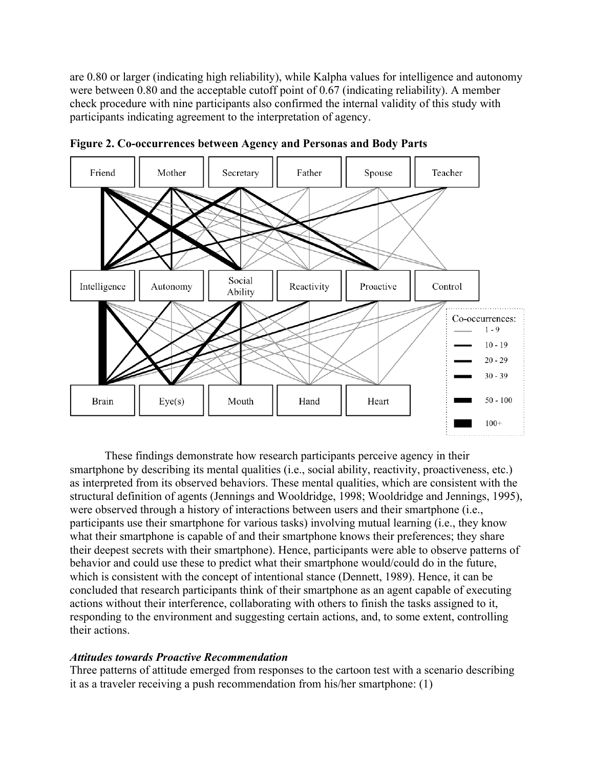are 0.80 or larger (indicating high reliability), while Kalpha values for intelligence and autonomy were between 0.80 and the acceptable cutoff point of 0.67 (indicating reliability). A member check procedure with nine participants also confirmed the internal validity of this study with participants indicating agreement to the interpretation of agency.



**Figure 2. Co-occurrences between Agency and Personas and Body Parts**

These findings demonstrate how research participants perceive agency in their smartphone by describing its mental qualities (i.e., social ability, reactivity, proactiveness, etc.) as interpreted from its observed behaviors. These mental qualities, which are consistent with the structural definition of agents (Jennings and Wooldridge, 1998; Wooldridge and Jennings, 1995), were observed through a history of interactions between users and their smartphone (i.e., participants use their smartphone for various tasks) involving mutual learning (i.e., they know what their smartphone is capable of and their smartphone knows their preferences; they share their deepest secrets with their smartphone). Hence, participants were able to observe patterns of behavior and could use these to predict what their smartphone would/could do in the future, which is consistent with the concept of intentional stance (Dennett, 1989). Hence, it can be concluded that research participants think of their smartphone as an agent capable of executing actions without their interference, collaborating with others to finish the tasks assigned to it, responding to the environment and suggesting certain actions, and, to some extent, controlling their actions.

## *Attitudes towards Proactive Recommendation*

Three patterns of attitude emerged from responses to the cartoon test with a scenario describing it as a traveler receiving a push recommendation from his/her smartphone: (1)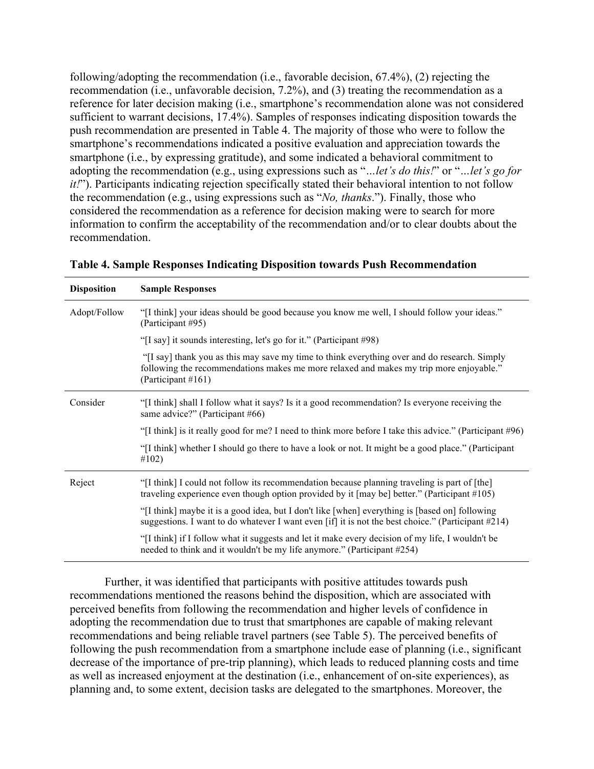following/adopting the recommendation (i.e., favorable decision, 67.4%), (2) rejecting the recommendation (i.e., unfavorable decision, 7.2%), and (3) treating the recommendation as a reference for later decision making (i.e., smartphone's recommendation alone was not considered sufficient to warrant decisions, 17.4%). Samples of responses indicating disposition towards the push recommendation are presented in Table 4. The majority of those who were to follow the smartphone's recommendations indicated a positive evaluation and appreciation towards the smartphone (i.e., by expressing gratitude), and some indicated a behavioral commitment to adopting the recommendation (e.g., using expressions such as "*…let's do this!*" or "*…let's go for it!*"). Participants indicating rejection specifically stated their behavioral intention to not follow the recommendation (e.g., using expressions such as "*No, thanks*."). Finally, those who considered the recommendation as a reference for decision making were to search for more information to confirm the acceptability of the recommendation and/or to clear doubts about the recommendation.

| <b>Disposition</b> | <b>Sample Responses</b>                                                                                                                                                                                      |
|--------------------|--------------------------------------------------------------------------------------------------------------------------------------------------------------------------------------------------------------|
| Adopt/Follow       | "[I think] your ideas should be good because you know me well, I should follow your ideas."<br>(Participant #95)                                                                                             |
|                    | "[I say] it sounds interesting, let's go for it." (Participant #98)                                                                                                                                          |
|                    | "[I say] thank you as this may save my time to think everything over and do research. Simply<br>following the recommendations makes me more relaxed and makes my trip more enjoyable."<br>(Participant #161) |
| Consider           | "[I think] shall I follow what it says? Is it a good recommendation? Is everyone receiving the<br>same advice?" (Participant $#66$ )                                                                         |
|                    | "[I think] is it really good for me? I need to think more before I take this advice." (Participant #96)                                                                                                      |
|                    | "[I think] whether I should go there to have a look or not. It might be a good place." (Participant<br>#102)                                                                                                 |
| Reject             | "[I think] I could not follow its recommendation because planning traveling is part of [the]"<br>traveling experience even though option provided by it [may be] better." (Participant #105)                 |
|                    | "[I think] maybe it is a good idea, but I don't like [when] everything is [based on] following<br>suggestions. I want to do whatever I want even [if] it is not the best choice." (Participant $\#214$ )     |
|                    | "[I think] if I follow what it suggests and let it make every decision of my life, I wouldn't be<br>needed to think and it wouldn't be my life anymore." (Participant #254)                                  |

| Table 4. Sample Responses Indicating Disposition towards Push Recommendation |  |  |  |
|------------------------------------------------------------------------------|--|--|--|
|                                                                              |  |  |  |

Further, it was identified that participants with positive attitudes towards push recommendations mentioned the reasons behind the disposition, which are associated with perceived benefits from following the recommendation and higher levels of confidence in adopting the recommendation due to trust that smartphones are capable of making relevant recommendations and being reliable travel partners (see Table 5). The perceived benefits of following the push recommendation from a smartphone include ease of planning (i.e., significant decrease of the importance of pre-trip planning), which leads to reduced planning costs and time as well as increased enjoyment at the destination (i.e., enhancement of on-site experiences), as planning and, to some extent, decision tasks are delegated to the smartphones. Moreover, the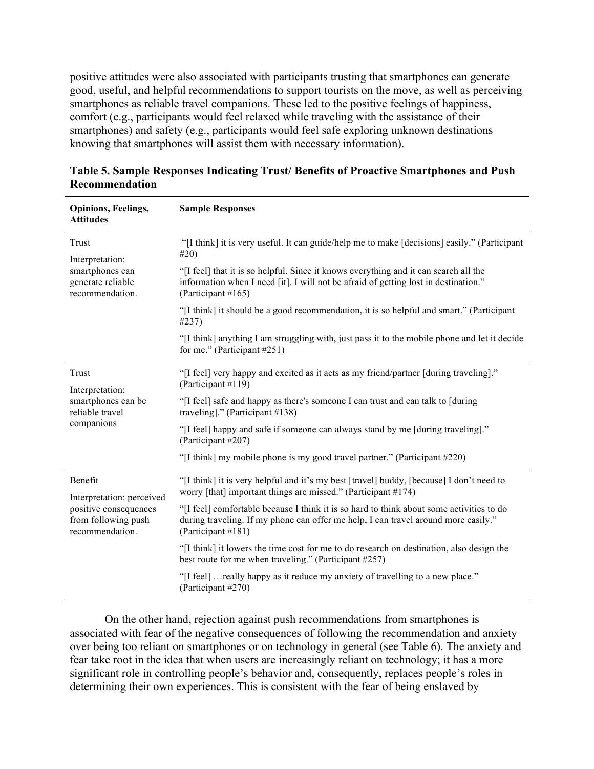positive attitudes were also associated with participants trusting that smartphones can generate good, useful, and helpful recommendations to support tourists on the move, as well as perceiving smartphones as reliable travel companions. These led to the positive feelings of happiness, comfort (e.g., participants would feel relaxed while traveling with the assistance of their smartphones) and safety (e.g., participants would feel safe exploring unknown destinations knowing that smartphones will assist them with necessary information).

| Opinions, Feelings,<br><b>Attitudes</b>                         | <b>Sample Responses</b>                                                                                                                                                                              |
|-----------------------------------------------------------------|------------------------------------------------------------------------------------------------------------------------------------------------------------------------------------------------------|
| Trust<br>Interpretation:                                        | "[I think] it is very useful. It can guide/help me to make [decisions] easily." (Participant<br>#20)                                                                                                 |
| smartphones can<br>generate reliable<br>recommendation.         | "[I feel] that it is so helpful. Since it knows everything and it can search all the<br>information when I need [it]. I will not be afraid of getting lost in destination."<br>(Participant #165)    |
|                                                                 | "[I think] it should be a good recommendation, it is so helpful and smart." (Participant<br>#237)                                                                                                    |
|                                                                 | "[I think] anything I am struggling with, just pass it to the mobile phone and let it decide<br>for me." (Participant #251)                                                                          |
| Trust<br>Interpretation:                                        | "[I feel] very happy and excited as it acts as my friend/partner [during traveling]."<br>(Participant #119)                                                                                          |
| smartphones can be<br>reliable travel                           | "[I feel] safe and happy as there's someone I can trust and can talk to [during]"<br>traveling]." (Participant $\#138$ )                                                                             |
| companions                                                      | "[I feel] happy and safe if someone can always stand by me [during traveling]."<br>(Participant #207)                                                                                                |
|                                                                 | "[I think] my mobile phone is my good travel partner." (Participant #220)                                                                                                                            |
| Benefit<br>Interpretation: perceived                            | "[I think] it is very helpful and it's my best [travel] buddy, [because] I don't need to<br>worry [that] important things are missed." (Participant #174)                                            |
| positive consequences<br>from following push<br>recommendation. | "[I feel] comfortable because I think it is so hard to think about some activities to do<br>during traveling. If my phone can offer me help, I can travel around more easily."<br>(Participant #181) |
|                                                                 | "[I think] it lowers the time cost for me to do research on destination, also design the<br>best route for me when traveling." (Participant #257)                                                    |
|                                                                 | "[I feel]  really happy as it reduce my anxiety of travelling to a new place."<br>(Participant #270)                                                                                                 |

**Table 5. Sample Responses Indicating Trust/ Benefits of Proactive Smartphones and Push Recommendation**

On the other hand, rejection against push recommendations from smartphones is associated with fear of the negative consequences of following the recommendation and anxiety over being too reliant on smartphones or on technology in general (see Table 6). The anxiety and fear take root in the idea that when users are increasingly reliant on technology; it has a more significant role in controlling people's behavior and, consequently, replaces people's roles in determining their own experiences. This is consistent with the fear of being enslaved by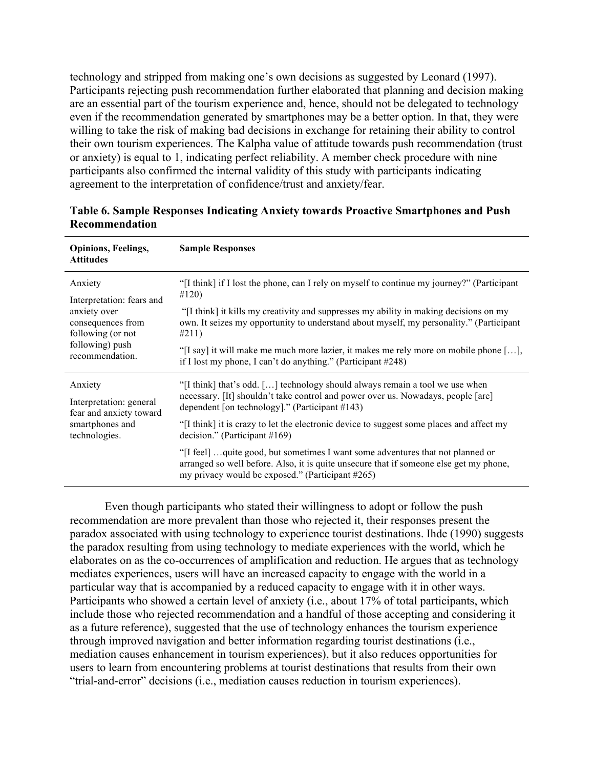technology and stripped from making one's own decisions as suggested by Leonard (1997). Participants rejecting push recommendation further elaborated that planning and decision making are an essential part of the tourism experience and, hence, should not be delegated to technology even if the recommendation generated by smartphones may be a better option. In that, they were willing to take the risk of making bad decisions in exchange for retaining their ability to control their own tourism experiences. The Kalpha value of attitude towards push recommendation (trust or anxiety) is equal to 1, indicating perfect reliability. A member check procedure with nine participants also confirmed the internal validity of this study with participants indicating agreement to the interpretation of confidence/trust and anxiety/fear.

| Opinions, Feelings,<br><b>Attitudes</b> | <b>Sample Responses</b>                                                                                                                                                                                                          |
|-----------------------------------------|----------------------------------------------------------------------------------------------------------------------------------------------------------------------------------------------------------------------------------|
| Anxiety                                 | "[I think] if I lost the phone, can I rely on myself to continue my journey?" (Participant                                                                                                                                       |
| Interpretation: fears and               | #120)                                                                                                                                                                                                                            |
| anxiety over                            | "[I think] it kills my creativity and suppresses my ability in making decisions on my                                                                                                                                            |
| consequences from                       | own. It seizes my opportunity to understand about myself, my personality." (Participant                                                                                                                                          |
| following (or not                       | #211)                                                                                                                                                                                                                            |
| following) push                         | "[I say] it will make me much more lazier, it makes me rely more on mobile phone [],                                                                                                                                             |
| recommendation.                         | if I lost my phone, I can't do anything." (Participant $\#248$ )                                                                                                                                                                 |
| Anxiety                                 | "[I think] that's odd. [] technology should always remain a tool we use when                                                                                                                                                     |
| Interpretation: general                 | necessary. [It] shouldn't take control and power over us. Nowadays, people [are]                                                                                                                                                 |
| fear and anxiety toward                 | dependent [on technology]." (Participant $\#143$ )                                                                                                                                                                               |
| smartphones and                         | "[I think] it is crazy to let the electronic device to suggest some places and affect my                                                                                                                                         |
| technologies.                           | decision." (Participant #169)                                                                                                                                                                                                    |
|                                         | "[I feel] quite good, but sometimes I want some adventures that not planned or<br>arranged so well before. Also, it is quite unsecure that if someone else get my phone,<br>my privacy would be exposed." (Participant $\#265$ ) |

**Table 6. Sample Responses Indicating Anxiety towards Proactive Smartphones and Push Recommendation**

Even though participants who stated their willingness to adopt or follow the push recommendation are more prevalent than those who rejected it, their responses present the paradox associated with using technology to experience tourist destinations. Ihde (1990) suggests the paradox resulting from using technology to mediate experiences with the world, which he elaborates on as the co-occurrences of amplification and reduction. He argues that as technology mediates experiences, users will have an increased capacity to engage with the world in a particular way that is accompanied by a reduced capacity to engage with it in other ways. Participants who showed a certain level of anxiety (i.e., about 17% of total participants, which include those who rejected recommendation and a handful of those accepting and considering it as a future reference), suggested that the use of technology enhances the tourism experience through improved navigation and better information regarding tourist destinations (i.e., mediation causes enhancement in tourism experiences), but it also reduces opportunities for users to learn from encountering problems at tourist destinations that results from their own "trial-and-error" decisions (i.e., mediation causes reduction in tourism experiences).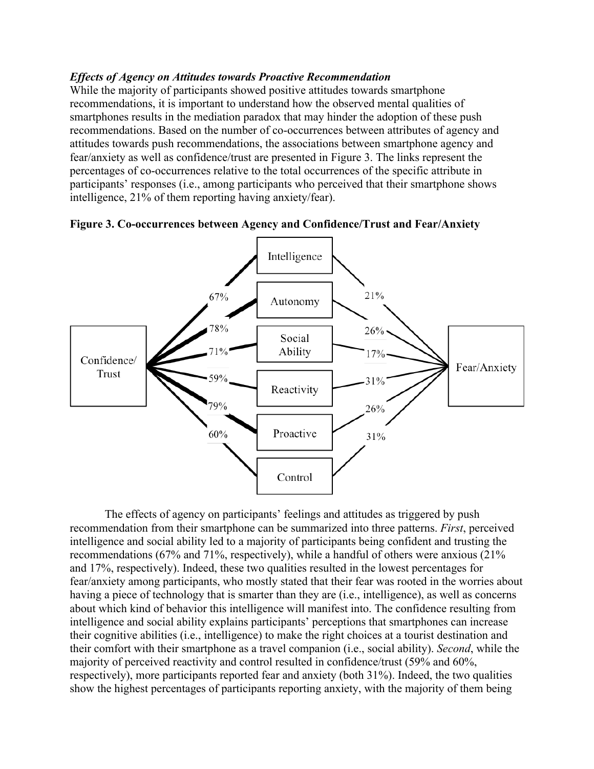## *Effects of Agency on Attitudes towards Proactive Recommendation*

While the majority of participants showed positive attitudes towards smartphone recommendations, it is important to understand how the observed mental qualities of smartphones results in the mediation paradox that may hinder the adoption of these push recommendations. Based on the number of co-occurrences between attributes of agency and attitudes towards push recommendations, the associations between smartphone agency and fear/anxiety as well as confidence/trust are presented in Figure 3. The links represent the percentages of co-occurrences relative to the total occurrences of the specific attribute in participants' responses (i.e., among participants who perceived that their smartphone shows intelligence, 21% of them reporting having anxiety/fear).





The effects of agency on participants' feelings and attitudes as triggered by push recommendation from their smartphone can be summarized into three patterns. *First*, perceived intelligence and social ability led to a majority of participants being confident and trusting the recommendations (67% and 71%, respectively), while a handful of others were anxious (21% and 17%, respectively). Indeed, these two qualities resulted in the lowest percentages for fear/anxiety among participants, who mostly stated that their fear was rooted in the worries about having a piece of technology that is smarter than they are (i.e., intelligence), as well as concerns about which kind of behavior this intelligence will manifest into. The confidence resulting from intelligence and social ability explains participants' perceptions that smartphones can increase their cognitive abilities (i.e., intelligence) to make the right choices at a tourist destination and their comfort with their smartphone as a travel companion (i.e., social ability). *Second*, while the majority of perceived reactivity and control resulted in confidence/trust (59% and 60%, respectively), more participants reported fear and anxiety (both 31%). Indeed, the two qualities show the highest percentages of participants reporting anxiety, with the majority of them being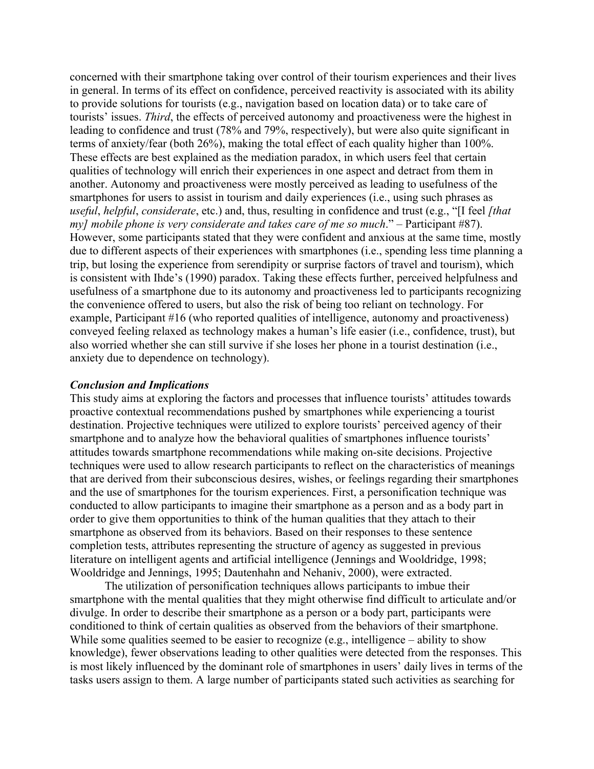concerned with their smartphone taking over control of their tourism experiences and their lives in general. In terms of its effect on confidence, perceived reactivity is associated with its ability to provide solutions for tourists (e.g., navigation based on location data) or to take care of tourists' issues. *Third*, the effects of perceived autonomy and proactiveness were the highest in leading to confidence and trust (78% and 79%, respectively), but were also quite significant in terms of anxiety/fear (both 26%), making the total effect of each quality higher than 100%. These effects are best explained as the mediation paradox, in which users feel that certain qualities of technology will enrich their experiences in one aspect and detract from them in another. Autonomy and proactiveness were mostly perceived as leading to usefulness of the smartphones for users to assist in tourism and daily experiences (i.e., using such phrases as *useful*, *helpful*, *considerate*, etc.) and, thus, resulting in confidence and trust (e.g., "[I feel *[that my] mobile phone is very considerate and takes care of me so much*." – Participant #87). However, some participants stated that they were confident and anxious at the same time, mostly due to different aspects of their experiences with smartphones (i.e., spending less time planning a trip, but losing the experience from serendipity or surprise factors of travel and tourism), which is consistent with Ihde's (1990) paradox. Taking these effects further, perceived helpfulness and usefulness of a smartphone due to its autonomy and proactiveness led to participants recognizing the convenience offered to users, but also the risk of being too reliant on technology. For example, Participant #16 (who reported qualities of intelligence, autonomy and proactiveness) conveyed feeling relaxed as technology makes a human's life easier (i.e., confidence, trust), but also worried whether she can still survive if she loses her phone in a tourist destination (i.e., anxiety due to dependence on technology).

### *Conclusion and Implications*

This study aims at exploring the factors and processes that influence tourists' attitudes towards proactive contextual recommendations pushed by smartphones while experiencing a tourist destination. Projective techniques were utilized to explore tourists' perceived agency of their smartphone and to analyze how the behavioral qualities of smartphones influence tourists' attitudes towards smartphone recommendations while making on-site decisions. Projective techniques were used to allow research participants to reflect on the characteristics of meanings that are derived from their subconscious desires, wishes, or feelings regarding their smartphones and the use of smartphones for the tourism experiences. First, a personification technique was conducted to allow participants to imagine their smartphone as a person and as a body part in order to give them opportunities to think of the human qualities that they attach to their smartphone as observed from its behaviors. Based on their responses to these sentence completion tests, attributes representing the structure of agency as suggested in previous literature on intelligent agents and artificial intelligence (Jennings and Wooldridge, 1998; Wooldridge and Jennings, 1995; Dautenhahn and Nehaniv, 2000), were extracted.

The utilization of personification techniques allows participants to imbue their smartphone with the mental qualities that they might otherwise find difficult to articulate and/or divulge. In order to describe their smartphone as a person or a body part, participants were conditioned to think of certain qualities as observed from the behaviors of their smartphone. While some qualities seemed to be easier to recognize (e.g., intelligence – ability to show knowledge), fewer observations leading to other qualities were detected from the responses. This is most likely influenced by the dominant role of smartphones in users' daily lives in terms of the tasks users assign to them. A large number of participants stated such activities as searching for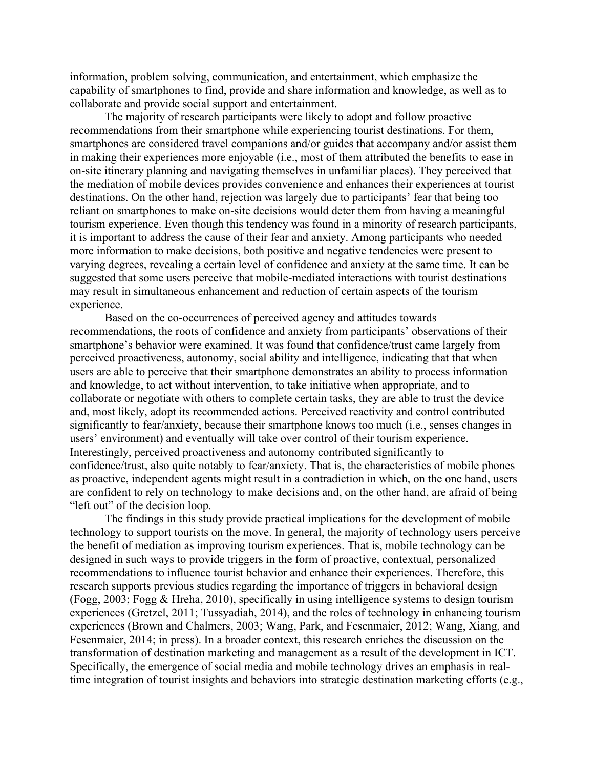information, problem solving, communication, and entertainment, which emphasize the capability of smartphones to find, provide and share information and knowledge, as well as to collaborate and provide social support and entertainment.

The majority of research participants were likely to adopt and follow proactive recommendations from their smartphone while experiencing tourist destinations. For them, smartphones are considered travel companions and/or guides that accompany and/or assist them in making their experiences more enjoyable (i.e., most of them attributed the benefits to ease in on-site itinerary planning and navigating themselves in unfamiliar places). They perceived that the mediation of mobile devices provides convenience and enhances their experiences at tourist destinations. On the other hand, rejection was largely due to participants' fear that being too reliant on smartphones to make on-site decisions would deter them from having a meaningful tourism experience. Even though this tendency was found in a minority of research participants, it is important to address the cause of their fear and anxiety. Among participants who needed more information to make decisions, both positive and negative tendencies were present to varying degrees, revealing a certain level of confidence and anxiety at the same time. It can be suggested that some users perceive that mobile-mediated interactions with tourist destinations may result in simultaneous enhancement and reduction of certain aspects of the tourism experience.

Based on the co-occurrences of perceived agency and attitudes towards recommendations, the roots of confidence and anxiety from participants' observations of their smartphone's behavior were examined. It was found that confidence/trust came largely from perceived proactiveness, autonomy, social ability and intelligence, indicating that that when users are able to perceive that their smartphone demonstrates an ability to process information and knowledge, to act without intervention, to take initiative when appropriate, and to collaborate or negotiate with others to complete certain tasks, they are able to trust the device and, most likely, adopt its recommended actions. Perceived reactivity and control contributed significantly to fear/anxiety, because their smartphone knows too much (i.e., senses changes in users' environment) and eventually will take over control of their tourism experience. Interestingly, perceived proactiveness and autonomy contributed significantly to confidence/trust, also quite notably to fear/anxiety. That is, the characteristics of mobile phones as proactive, independent agents might result in a contradiction in which, on the one hand, users are confident to rely on technology to make decisions and, on the other hand, are afraid of being "left out" of the decision loop.

The findings in this study provide practical implications for the development of mobile technology to support tourists on the move. In general, the majority of technology users perceive the benefit of mediation as improving tourism experiences. That is, mobile technology can be designed in such ways to provide triggers in the form of proactive, contextual, personalized recommendations to influence tourist behavior and enhance their experiences. Therefore, this research supports previous studies regarding the importance of triggers in behavioral design (Fogg, 2003; Fogg & Hreha, 2010), specifically in using intelligence systems to design tourism experiences (Gretzel, 2011; Tussyadiah, 2014), and the roles of technology in enhancing tourism experiences (Brown and Chalmers, 2003; Wang, Park, and Fesenmaier, 2012; Wang, Xiang, and Fesenmaier, 2014; in press). In a broader context, this research enriches the discussion on the transformation of destination marketing and management as a result of the development in ICT. Specifically, the emergence of social media and mobile technology drives an emphasis in realtime integration of tourist insights and behaviors into strategic destination marketing efforts (e.g.,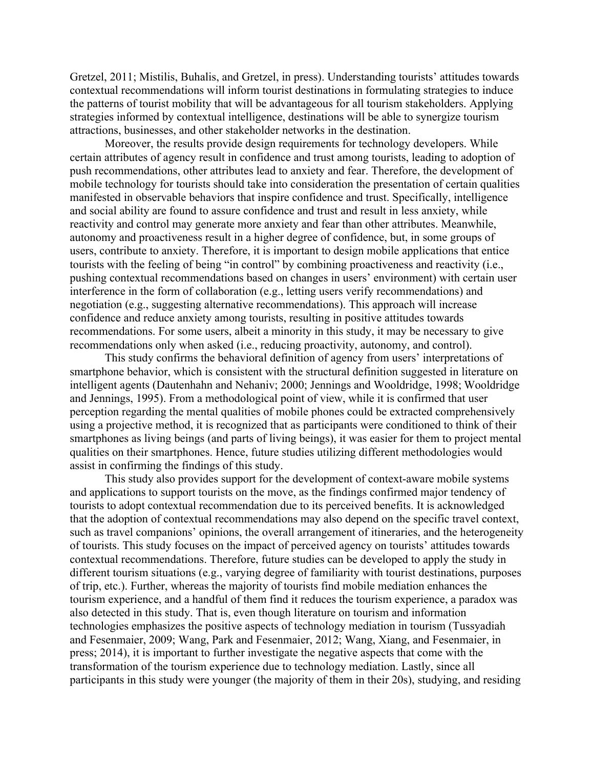Gretzel, 2011; Mistilis, Buhalis, and Gretzel, in press). Understanding tourists' attitudes towards contextual recommendations will inform tourist destinations in formulating strategies to induce the patterns of tourist mobility that will be advantageous for all tourism stakeholders. Applying strategies informed by contextual intelligence, destinations will be able to synergize tourism attractions, businesses, and other stakeholder networks in the destination.

Moreover, the results provide design requirements for technology developers. While certain attributes of agency result in confidence and trust among tourists, leading to adoption of push recommendations, other attributes lead to anxiety and fear. Therefore, the development of mobile technology for tourists should take into consideration the presentation of certain qualities manifested in observable behaviors that inspire confidence and trust. Specifically, intelligence and social ability are found to assure confidence and trust and result in less anxiety, while reactivity and control may generate more anxiety and fear than other attributes. Meanwhile, autonomy and proactiveness result in a higher degree of confidence, but, in some groups of users, contribute to anxiety. Therefore, it is important to design mobile applications that entice tourists with the feeling of being "in control" by combining proactiveness and reactivity (i.e., pushing contextual recommendations based on changes in users' environment) with certain user interference in the form of collaboration (e.g., letting users verify recommendations) and negotiation (e.g., suggesting alternative recommendations). This approach will increase confidence and reduce anxiety among tourists, resulting in positive attitudes towards recommendations. For some users, albeit a minority in this study, it may be necessary to give recommendations only when asked (i.e., reducing proactivity, autonomy, and control).

This study confirms the behavioral definition of agency from users' interpretations of smartphone behavior, which is consistent with the structural definition suggested in literature on intelligent agents (Dautenhahn and Nehaniv; 2000; Jennings and Wooldridge, 1998; Wooldridge and Jennings, 1995). From a methodological point of view, while it is confirmed that user perception regarding the mental qualities of mobile phones could be extracted comprehensively using a projective method, it is recognized that as participants were conditioned to think of their smartphones as living beings (and parts of living beings), it was easier for them to project mental qualities on their smartphones. Hence, future studies utilizing different methodologies would assist in confirming the findings of this study.

This study also provides support for the development of context-aware mobile systems and applications to support tourists on the move, as the findings confirmed major tendency of tourists to adopt contextual recommendation due to its perceived benefits. It is acknowledged that the adoption of contextual recommendations may also depend on the specific travel context, such as travel companions' opinions, the overall arrangement of itineraries, and the heterogeneity of tourists. This study focuses on the impact of perceived agency on tourists' attitudes towards contextual recommendations. Therefore, future studies can be developed to apply the study in different tourism situations (e.g., varying degree of familiarity with tourist destinations, purposes of trip, etc.). Further, whereas the majority of tourists find mobile mediation enhances the tourism experience, and a handful of them find it reduces the tourism experience, a paradox was also detected in this study. That is, even though literature on tourism and information technologies emphasizes the positive aspects of technology mediation in tourism (Tussyadiah and Fesenmaier, 2009; Wang, Park and Fesenmaier, 2012; Wang, Xiang, and Fesenmaier, in press; 2014), it is important to further investigate the negative aspects that come with the transformation of the tourism experience due to technology mediation. Lastly, since all participants in this study were younger (the majority of them in their 20s), studying, and residing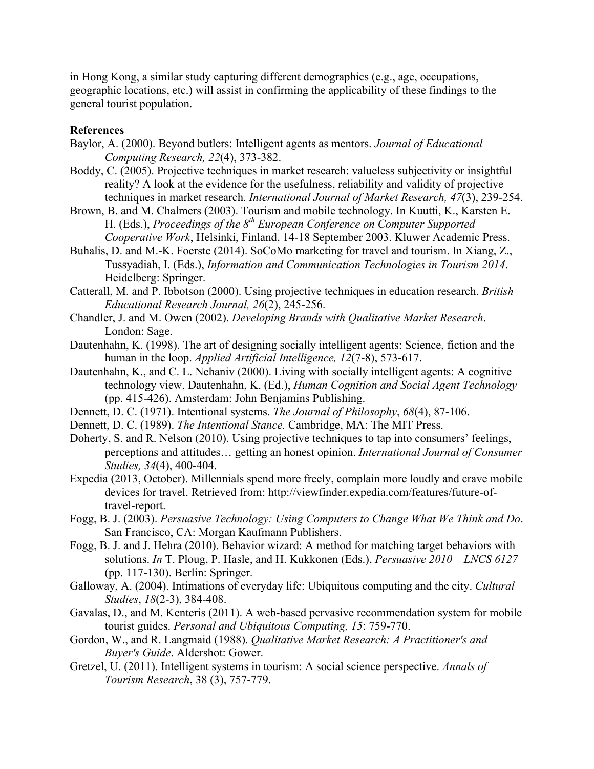in Hong Kong, a similar study capturing different demographics (e.g., age, occupations, geographic locations, etc.) will assist in confirming the applicability of these findings to the general tourist population.

## **References**

- Baylor, A. (2000). Beyond butlers: Intelligent agents as mentors. *Journal of Educational Computing Research, 22*(4), 373-382.
- Boddy, C. (2005). Projective techniques in market research: valueless subjectivity or insightful reality? A look at the evidence for the usefulness, reliability and validity of projective techniques in market research. *International Journal of Market Research, 47*(3), 239-254.
- Brown, B. and M. Chalmers (2003). Tourism and mobile technology. In Kuutti, K., Karsten E. H. (Eds.), *Proceedings of the 8th European Conference on Computer Supported Cooperative Work*, Helsinki, Finland, 14-18 September 2003. Kluwer Academic Press.
- Buhalis, D. and M.-K. Foerste (2014). SoCoMo marketing for travel and tourism. In Xiang, Z., Tussyadiah, I. (Eds.), *Information and Communication Technologies in Tourism 2014*. Heidelberg: Springer.
- Catterall, M. and P. Ibbotson (2000). Using projective techniques in education research. *British Educational Research Journal, 26*(2), 245-256.
- Chandler, J. and M. Owen (2002). *Developing Brands with Qualitative Market Research*. London: Sage.
- Dautenhahn, K. (1998). The art of designing socially intelligent agents: Science, fiction and the human in the loop. *Applied Artificial Intelligence, 12*(7-8), 573-617.
- Dautenhahn, K., and C. L. Nehaniv (2000). Living with socially intelligent agents: A cognitive technology view. Dautenhahn, K. (Ed.), *Human Cognition and Social Agent Technology* (pp. 415-426). Amsterdam: John Benjamins Publishing.
- Dennett, D. C. (1971). Intentional systems. *The Journal of Philosophy*, *68*(4), 87-106.
- Dennett, D. C. (1989). *The Intentional Stance.* Cambridge, MA: The MIT Press.
- Doherty, S. and R. Nelson (2010). Using projective techniques to tap into consumers' feelings, perceptions and attitudes… getting an honest opinion. *International Journal of Consumer Studies, 34*(4), 400-404.
- Expedia (2013, October). Millennials spend more freely, complain more loudly and crave mobile devices for travel. Retrieved from: http://viewfinder.expedia.com/features/future-oftravel-report.
- Fogg, B. J. (2003). *Persuasive Technology: Using Computers to Change What We Think and Do*. San Francisco, CA: Morgan Kaufmann Publishers.
- Fogg, B. J. and J. Hehra (2010). Behavior wizard: A method for matching target behaviors with solutions. *In* T. Ploug, P. Hasle, and H. Kukkonen (Eds.), *Persuasive 2010 – LNCS 6127* (pp. 117-130). Berlin: Springer.
- Galloway, A. (2004). Intimations of everyday life: Ubiquitous computing and the city. *Cultural Studies*, *18*(2-3), 384-408.
- Gavalas, D., and M. Kenteris (2011). A web-based pervasive recommendation system for mobile tourist guides. *Personal and Ubiquitous Computing, 15*: 759-770.
- Gordon, W., and R. Langmaid (1988). *Qualitative Market Research: A Practitioner's and Buyer's Guide*. Aldershot: Gower.
- Gretzel, U. (2011). Intelligent systems in tourism: A social science perspective. *Annals of Tourism Research*, 38 (3), 757-779.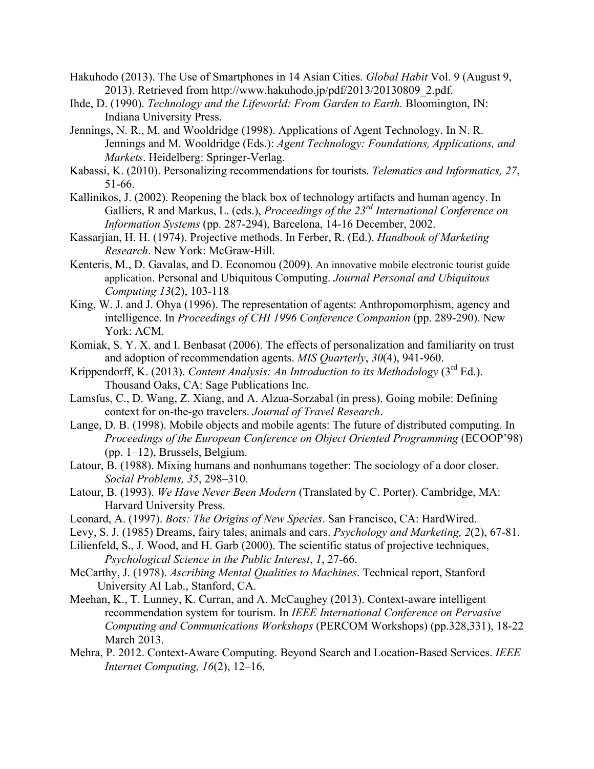- Hakuhodo (2013). The Use of Smartphones in 14 Asian Cities. *Global Habit* Vol. 9 (August 9, 2013). Retrieved from http://www.hakuhodo.jp/pdf/2013/20130809\_2.pdf.
- Ihde, D. (1990). *Technology and the Lifeworld: From Garden to Earth.* Bloomington, IN: Indiana University Press.
- Jennings, N. R., M. and Wooldridge (1998). Applications of Agent Technology. In N. R. Jennings and M. Wooldridge (Eds.): *Agent Technology: Foundations, Applications, and Markets*. Heidelberg: Springer-Verlag.
- Kabassi, K. (2010). Personalizing recommendations for tourists. *Telematics and Informatics, 27*, 51-66.
- Kallinikos, J. (2002). Reopening the black box of technology artifacts and human agency. In Galliers, R and Markus, L. (eds.), *Proceedings of the 23rd International Conference on Information Systems* (pp. 287-294), Barcelona, 14-16 December, 2002.
- Kassarjian, H. H. (1974). Projective methods. In Ferber, R. (Ed.). *Handbook of Marketing Research*. New York: McGraw-Hill.
- Kenteris, M., D. Gavalas, and D. Economou (2009). An innovative mobile electronic tourist guide application. Personal and Ubiquitous Computing. *Journal Personal and Ubiquitous Computing 13*(2), 103-118
- King, W. J. and J. Ohya (1996). The representation of agents: Anthropomorphism, agency and intelligence. In *Proceedings of CHI 1996 Conference Companion* (pp. 289-290). New York: ACM.
- Komiak, S. Y. X. and I. Benbasat (2006). The effects of personalization and familiarity on trust and adoption of recommendation agents. *MIS Quarterly*, *30*(4), 941-960.
- Krippendorff, K. (2013). *Content Analysis: An Introduction to its Methodology* (3<sup>rd</sup> Ed.). Thousand Oaks, CA: Sage Publications Inc.
- Lamsfus, C., D. Wang, Z. Xiang, and A. Alzua-Sorzabal (in press). Going mobile: Defining context for on-the-go travelers. *Journal of Travel Research*.
- Lange, D. B. (1998). Mobile objects and mobile agents: The future of distributed computing. In *Proceedings of the European Conference on Object Oriented Programming* (ECOOP'98) (pp. 1–12), Brussels, Belgium.
- Latour, B. (1988). Mixing humans and nonhumans together: The sociology of a door closer. *Social Problems, 35*, 298–310.
- Latour, B. (1993). *We Have Never Been Modern* (Translated by C. Porter). Cambridge, MA: Harvard University Press.
- Leonard, A. (1997). *Bots: The Origins of New Species*. San Francisco, CA: HardWired.
- Levy, S. J. (1985) Dreams, fairy tales, animals and cars. *Psychology and Marketing, 2*(2), 67-81.
- Lilienfeld, S., J. Wood, and H. Garb (2000). The scientific status of projective techniques, *Psychological Science in the Public Interest*, *1*, 27-66.
- McCarthy, J. (1978). *Ascribing Mental Qualities to Machines*. Technical report, Stanford University AI Lab., Stanford, CA.
- Meehan, K., T. Lunney, K. Curran, and A. McCaughey (2013). Context-aware intelligent recommendation system for tourism. In *IEEE International Conference on Pervasive Computing and Communications Workshops* (PERCOM Workshops) (pp.328,331), 18-22 March 2013.
- Mehra, P. 2012. Context-Aware Computing. Beyond Search and Location-Based Services. *IEEE Internet Computing, 16*(2), 12–16.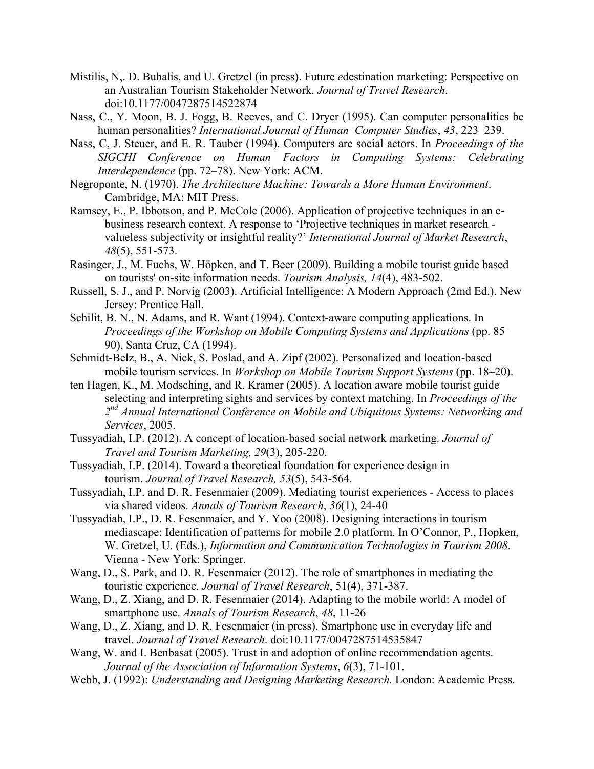- Mistilis, N,. D. Buhalis, and U. Gretzel (in press). Future *e*destination marketing: Perspective on an Australian Tourism Stakeholder Network. *Journal of Travel Research*. doi:10.1177/0047287514522874
- Nass, C., Y. Moon, B. J. Fogg, B. Reeves, and C. Dryer (1995). Can computer personalities be human personalities? *International Journal of Human–Computer Studies*, *43*, 223–239.
- Nass, C, J. Steuer, and E. R. Tauber (1994). Computers are social actors. In *Proceedings of the SIGCHI Conference on Human Factors in Computing Systems: Celebrating Interdependence* (pp. 72–78). New York: ACM.
- Negroponte, N. (1970). *The Architecture Machine: Towards a More Human Environment*. Cambridge, MA: MIT Press.
- Ramsey, E., P. Ibbotson, and P. McCole (2006). Application of projective techniques in an ebusiness research context. A response to 'Projective techniques in market research valueless subjectivity or insightful reality?' *International Journal of Market Research*, *48*(5), 551-573.
- Rasinger, J., M. Fuchs, W. Höpken, and T. Beer (2009). Building a mobile tourist guide based on tourists' on-site information needs. *Tourism Analysis, 14*(4), 483-502.
- Russell, S. J., and P. Norvig (2003). Artificial Intelligence: A Modern Approach (2md Ed.). New Jersey: Prentice Hall.
- Schilit, B. N., N. Adams, and R. Want (1994). Context-aware computing applications. In *Proceedings of the Workshop on Mobile Computing Systems and Applications* (pp. 85– 90), Santa Cruz, CA (1994).
- Schmidt-Belz, B., A. Nick, S. Poslad, and A. Zipf (2002). Personalized and location-based mobile tourism services. In *Workshop on Mobile Tourism Support Systems* (pp. 18–20).
- ten Hagen, K., M. Modsching, and R. Kramer (2005). A location aware mobile tourist guide selecting and interpreting sights and services by context matching. In *Proceedings of the 2nd Annual International Conference on Mobile and Ubiquitous Systems: Networking and Services*, 2005.
- Tussyadiah, I.P. (2012). A concept of location-based social network marketing. *Journal of Travel and Tourism Marketing, 29*(3), 205-220.
- Tussyadiah, I.P. (2014). Toward a theoretical foundation for experience design in tourism. *Journal of Travel Research, 53*(5), 543-564.
- Tussyadiah, I.P. and D. R. Fesenmaier (2009). Mediating tourist experiences Access to places via shared videos. *Annals of Tourism Research*, *36*(1), 24-40
- Tussyadiah, I.P., D. R. Fesenmaier, and Y. Yoo (2008). Designing interactions in tourism mediascape: Identification of patterns for mobile 2.0 platform. In O'Connor, P., Hopken, W. Gretzel, U. (Eds.), *Information and Communication Technologies in Tourism 2008*. Vienna - New York: Springer.
- Wang, D., S. Park, and D. R. Fesenmaier (2012). The role of smartphones in mediating the touristic experience. *Journal of Travel Research*, 51(4), 371-387.
- Wang, D., Z. Xiang, and D. R. Fesenmaier (2014). Adapting to the mobile world: A model of smartphone use. *Annals of Tourism Research*, *48*, 11-26
- Wang, D., Z. Xiang, and D. R. Fesenmaier (in press). Smartphone use in everyday life and travel. *Journal of Travel Research*. doi:10.1177/0047287514535847
- Wang, W. and I. Benbasat (2005). Trust in and adoption of online recommendation agents. *Journal of the Association of Information Systems*, *6*(3), 71-101.
- Webb, J. (1992): *Understanding and Designing Marketing Research.* London: Academic Press.